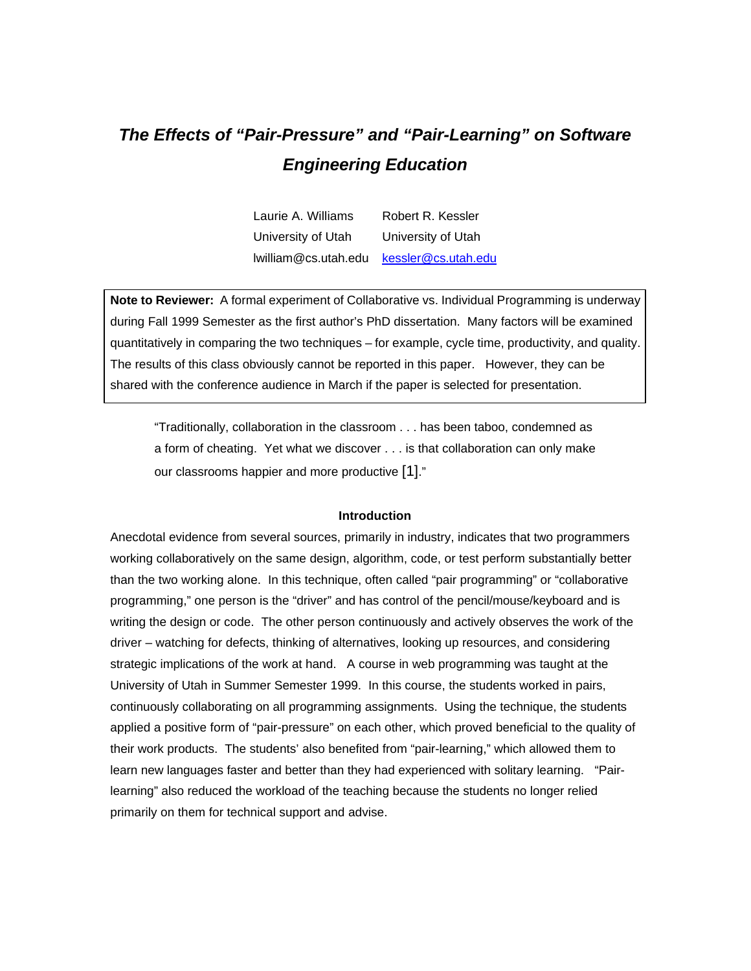# *The Effects of "Pair-Pressure" and "Pair-Learning" on Software Engineering Education*

Laurie A. Williams Robert R. Kessler University of Utah University of Utah lwilliam@cs.utah.edu kessler@cs.utah.edu

**Note to Reviewer:** A formal experiment of Collaborative vs. Individual Programming is underway during Fall 1999 Semester as the first author's PhD dissertation. Many factors will be examined quantitatively in comparing the two techniques – for example, cycle time, productivity, and quality. The results of this class obviously cannot be reported in this paper. However, they can be shared with the conference audience in March if the paper is selected for presentation.

"Traditionally, collaboration in the classroom . . . has been taboo, condemned as a form of cheating. Yet what we discover . . . is that collaboration can only make our classrooms happier and more productive [1]."

#### **Introduction**

Anecdotal evidence from several sources, primarily in industry, indicates that two programmers working collaboratively on the same design, algorithm, code, or test perform substantially better than the two working alone. In this technique, often called "pair programming" or "collaborative programming," one person is the "driver" and has control of the pencil/mouse/keyboard and is writing the design or code. The other person continuously and actively observes the work of the driver – watching for defects, thinking of alternatives, looking up resources, and considering strategic implications of the work at hand. A course in web programming was taught at the University of Utah in Summer Semester 1999. In this course, the students worked in pairs, continuously collaborating on all programming assignments. Using the technique, the students applied a positive form of "pair-pressure" on each other, which proved beneficial to the quality of their work products. The students' also benefited from "pair-learning," which allowed them to learn new languages faster and better than they had experienced with solitary learning. "Pairlearning" also reduced the workload of the teaching because the students no longer relied primarily on them for technical support and advise.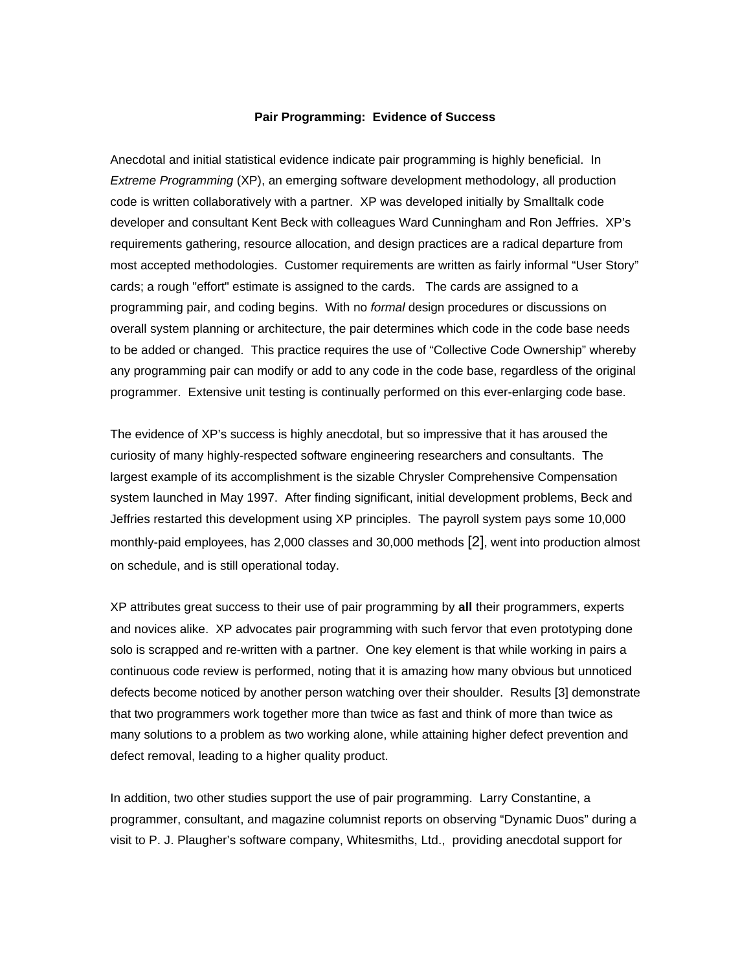#### **Pair Programming: Evidence of Success**

Anecdotal and initial statistical evidence indicate pair programming is highly beneficial. In *Extreme Programming* (XP), an emerging software development methodology, all production code is written collaboratively with a partner. XP was developed initially by Smalltalk code developer and consultant Kent Beck with colleagues Ward Cunningham and Ron Jeffries. XP's requirements gathering, resource allocation, and design practices are a radical departure from most accepted methodologies. Customer requirements are written as fairly informal "User Story" cards; a rough "effort" estimate is assigned to the cards. The cards are assigned to a programming pair, and coding begins. With no *formal* design procedures or discussions on overall system planning or architecture, the pair determines which code in the code base needs to be added or changed. This practice requires the use of "Collective Code Ownership" whereby any programming pair can modify or add to any code in the code base, regardless of the original programmer. Extensive unit testing is continually performed on this ever-enlarging code base.

The evidence of XP's success is highly anecdotal, but so impressive that it has aroused the curiosity of many highly-respected software engineering researchers and consultants. The largest example of its accomplishment is the sizable Chrysler Comprehensive Compensation system launched in May 1997. After finding significant, initial development problems, Beck and Jeffries restarted this development using XP principles. The payroll system pays some 10,000 monthly-paid employees, has 2,000 classes and 30,000 methods [2], went into production almost on schedule, and is still operational today.

XP attributes great success to their use of pair programming by **all** their programmers, experts and novices alike. XP advocates pair programming with such fervor that even prototyping done solo is scrapped and re-written with a partner. One key element is that while working in pairs a continuous code review is performed, noting that it is amazing how many obvious but unnoticed defects become noticed by another person watching over their shoulder. Results [3] demonstrate that two programmers work together more than twice as fast and think of more than twice as many solutions to a problem as two working alone, while attaining higher defect prevention and defect removal, leading to a higher quality product.

In addition, two other studies support the use of pair programming. Larry Constantine, a programmer, consultant, and magazine columnist reports on observing "Dynamic Duos" during a visit to P. J. Plaugher's software company, Whitesmiths, Ltd., providing anecdotal support for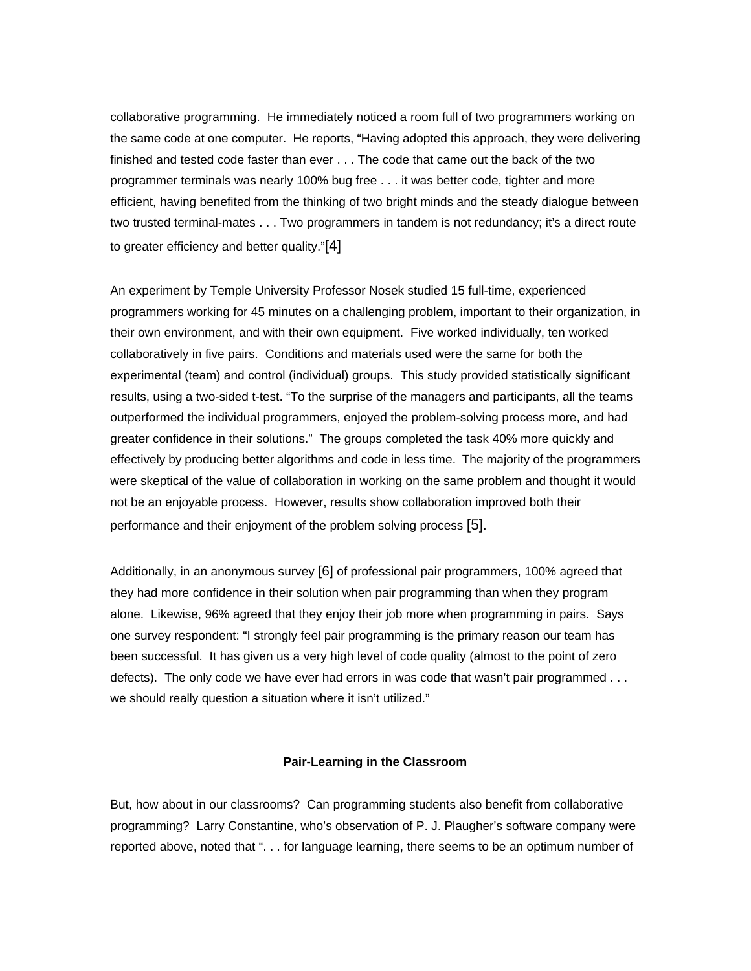collaborative programming. He immediately noticed a room full of two programmers working on the same code at one computer. He reports, "Having adopted this approach, they were delivering finished and tested code faster than ever . . . The code that came out the back of the two programmer terminals was nearly 100% bug free . . . it was better code, tighter and more efficient, having benefited from the thinking of two bright minds and the steady dialogue between two trusted terminal-mates . . . Two programmers in tandem is not redundancy; it's a direct route to greater efficiency and better quality."[4]

An experiment by Temple University Professor Nosek studied 15 full-time, experienced programmers working for 45 minutes on a challenging problem, important to their organization, in their own environment, and with their own equipment. Five worked individually, ten worked collaboratively in five pairs. Conditions and materials used were the same for both the experimental (team) and control (individual) groups. This study provided statistically significant results, using a two-sided t-test. "To the surprise of the managers and participants, all the teams outperformed the individual programmers, enjoyed the problem-solving process more, and had greater confidence in their solutions." The groups completed the task 40% more quickly and effectively by producing better algorithms and code in less time. The majority of the programmers were skeptical of the value of collaboration in working on the same problem and thought it would not be an enjoyable process. However, results show collaboration improved both their performance and their enjoyment of the problem solving process [5].

Additionally, in an anonymous survey [6] of professional pair programmers, 100% agreed that they had more confidence in their solution when pair programming than when they program alone. Likewise, 96% agreed that they enjoy their job more when programming in pairs. Says one survey respondent: "I strongly feel pair programming is the primary reason our team has been successful. It has given us a very high level of code quality (almost to the point of zero defects). The only code we have ever had errors in was code that wasn't pair programmed . . . we should really question a situation where it isn't utilized."

## **Pair-Learning in the Classroom**

But, how about in our classrooms? Can programming students also benefit from collaborative programming? Larry Constantine, who's observation of P. J. Plaugher's software company were reported above, noted that ". . . for language learning, there seems to be an optimum number of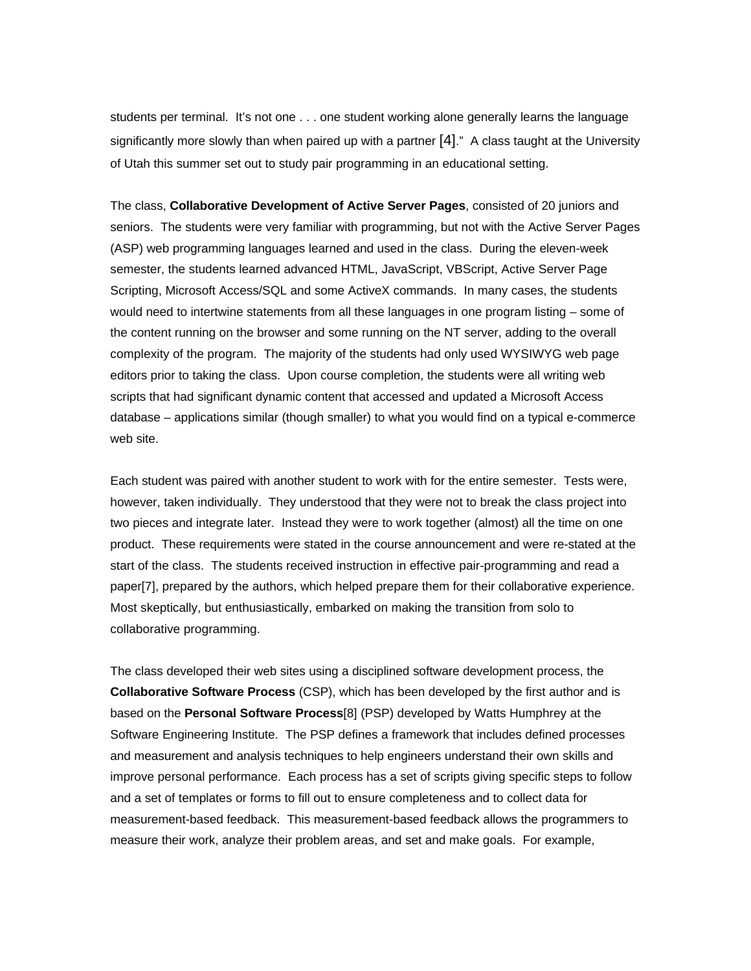students per terminal. It's not one . . . one student working alone generally learns the language significantly more slowly than when paired up with a partner [4]." A class taught at the University of Utah this summer set out to study pair programming in an educational setting.

The class, **Collaborative Development of Active Server Pages**, consisted of 20 juniors and seniors. The students were very familiar with programming, but not with the Active Server Pages (ASP) web programming languages learned and used in the class. During the eleven-week semester, the students learned advanced HTML, JavaScript, VBScript, Active Server Page Scripting, Microsoft Access/SQL and some ActiveX commands. In many cases, the students would need to intertwine statements from all these languages in one program listing – some of the content running on the browser and some running on the NT server, adding to the overall complexity of the program. The majority of the students had only used WYSIWYG web page editors prior to taking the class. Upon course completion, the students were all writing web scripts that had significant dynamic content that accessed and updated a Microsoft Access database – applications similar (though smaller) to what you would find on a typical e-commerce web site.

Each student was paired with another student to work with for the entire semester. Tests were, however, taken individually. They understood that they were not to break the class project into two pieces and integrate later. Instead they were to work together (almost) all the time on one product. These requirements were stated in the course announcement and were re-stated at the start of the class. The students received instruction in effective pair-programming and read a paper[7], prepared by the authors, which helped prepare them for their collaborative experience. Most skeptically, but enthusiastically, embarked on making the transition from solo to collaborative programming.

The class developed their web sites using a disciplined software development process, the **Collaborative Software Process** (CSP), which has been developed by the first author and is based on the **Personal Software Process**[8] (PSP) developed by Watts Humphrey at the Software Engineering Institute. The PSP defines a framework that includes defined processes and measurement and analysis techniques to help engineers understand their own skills and improve personal performance. Each process has a set of scripts giving specific steps to follow and a set of templates or forms to fill out to ensure completeness and to collect data for measurement-based feedback. This measurement-based feedback allows the programmers to measure their work, analyze their problem areas, and set and make goals. For example,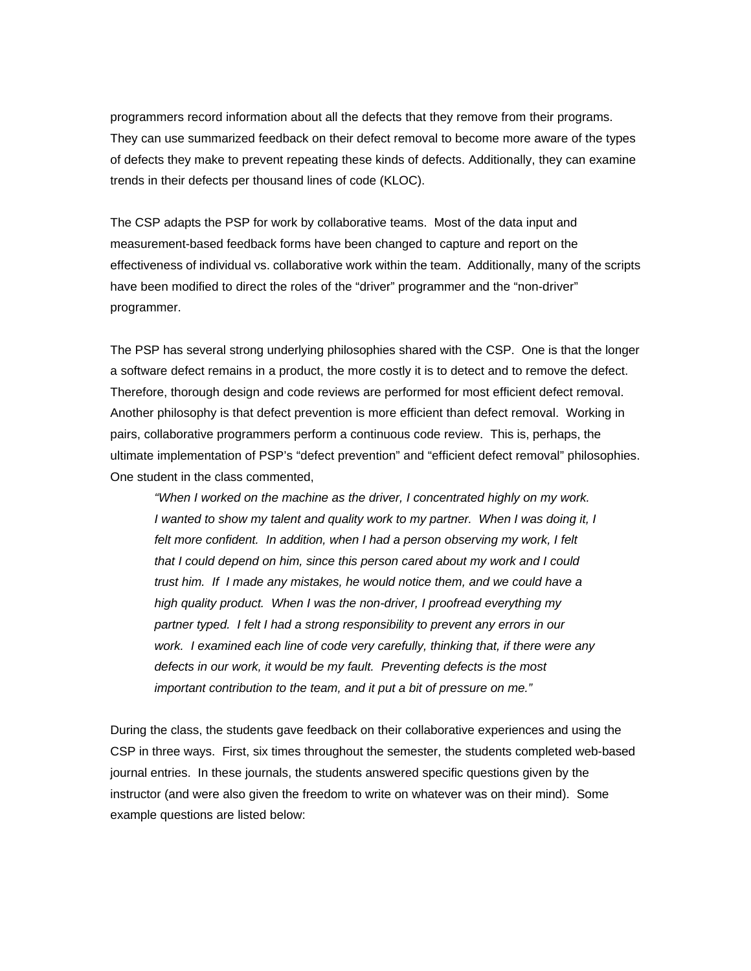programmers record information about all the defects that they remove from their programs. They can use summarized feedback on their defect removal to become more aware of the types of defects they make to prevent repeating these kinds of defects. Additionally, they can examine trends in their defects per thousand lines of code (KLOC).

The CSP adapts the PSP for work by collaborative teams. Most of the data input and measurement-based feedback forms have been changed to capture and report on the effectiveness of individual vs. collaborative work within the team. Additionally, many of the scripts have been modified to direct the roles of the "driver" programmer and the "non-driver" programmer.

The PSP has several strong underlying philosophies shared with the CSP. One is that the longer a software defect remains in a product, the more costly it is to detect and to remove the defect. Therefore, thorough design and code reviews are performed for most efficient defect removal. Another philosophy is that defect prevention is more efficient than defect removal. Working in pairs, collaborative programmers perform a continuous code review. This is, perhaps, the ultimate implementation of PSP's "defect prevention" and "efficient defect removal" philosophies. One student in the class commented,

*"When I worked on the machine as the driver, I concentrated highly on my work. I* wanted to show my talent and quality work to my partner. When I was doing it, I felt more confident. In addition, when I had a person observing my work, I felt *that I could depend on him, since this person cared about my work and I could trust him. If I made any mistakes, he would notice them, and we could have a high quality product. When I was the non-driver, I proofread everything my partner typed. I felt I had a strong responsibility to prevent any errors in our work. I examined each line of code very carefully, thinking that, if there were any defects in our work, it would be my fault. Preventing defects is the most important contribution to the team, and it put a bit of pressure on me."*

During the class, the students gave feedback on their collaborative experiences and using the CSP in three ways. First, six times throughout the semester, the students completed web-based journal entries. In these journals, the students answered specific questions given by the instructor (and were also given the freedom to write on whatever was on their mind). Some example questions are listed below: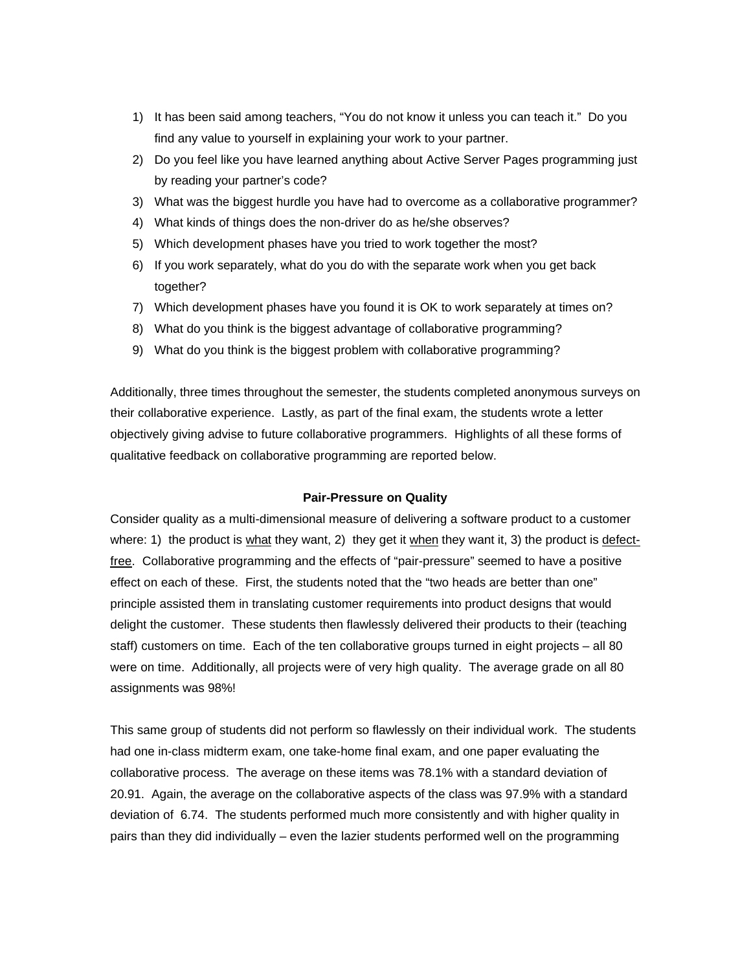- 1) It has been said among teachers, "You do not know it unless you can teach it." Do you find any value to yourself in explaining your work to your partner.
- 2) Do you feel like you have learned anything about Active Server Pages programming just by reading your partner's code?
- 3) What was the biggest hurdle you have had to overcome as a collaborative programmer?
- 4) What kinds of things does the non-driver do as he/she observes?
- 5) Which development phases have you tried to work together the most?
- 6) If you work separately, what do you do with the separate work when you get back together?
- 7) Which development phases have you found it is OK to work separately at times on?
- 8) What do you think is the biggest advantage of collaborative programming?
- 9) What do you think is the biggest problem with collaborative programming?

Additionally, three times throughout the semester, the students completed anonymous surveys on their collaborative experience. Lastly, as part of the final exam, the students wrote a letter objectively giving advise to future collaborative programmers. Highlights of all these forms of qualitative feedback on collaborative programming are reported below.

## **Pair-Pressure on Quality**

Consider quality as a multi-dimensional measure of delivering a software product to a customer where: 1) the product is  $\frac{w}{dt}$  they want, 2) they get it  $\frac{w}{dt}$  they want it, 3) the product is  $\frac{defect}{dt}$ free. Collaborative programming and the effects of "pair-pressure" seemed to have a positive effect on each of these. First, the students noted that the "two heads are better than one" principle assisted them in translating customer requirements into product designs that would delight the customer. These students then flawlessly delivered their products to their (teaching staff) customers on time. Each of the ten collaborative groups turned in eight projects – all 80 were on time. Additionally, all projects were of very high quality. The average grade on all 80 assignments was 98%!

This same group of students did not perform so flawlessly on their individual work. The students had one in-class midterm exam, one take-home final exam, and one paper evaluating the collaborative process. The average on these items was 78.1% with a standard deviation of 20.91. Again, the average on the collaborative aspects of the class was 97.9% with a standard deviation of 6.74. The students performed much more consistently and with higher quality in pairs than they did individually – even the lazier students performed well on the programming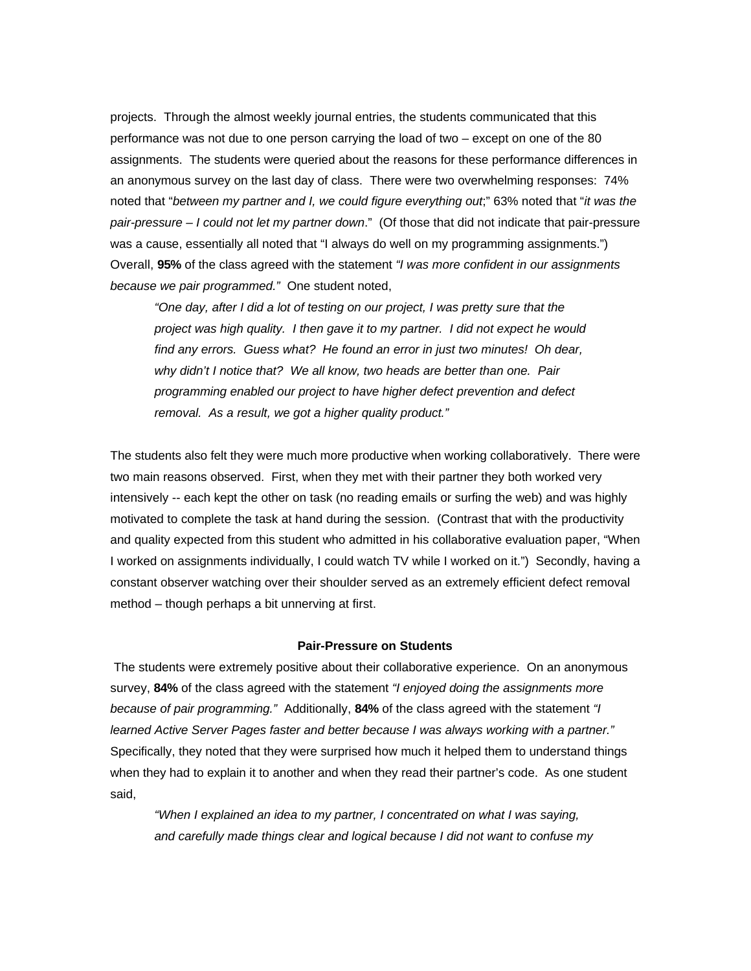projects. Through the almost weekly journal entries, the students communicated that this performance was not due to one person carrying the load of two – except on one of the 80 assignments. The students were queried about the reasons for these performance differences in an anonymous survey on the last day of class. There were two overwhelming responses: 74% noted that "*between my partner and I, we could figure everything out*;" 63% noted that "*it was the pair-pressure – I could not let my partner down*." (Of those that did not indicate that pair-pressure was a cause, essentially all noted that "I always do well on my programming assignments.") Overall, **95%** of the class agreed with the statement *"I was more confident in our assignments because we pair programmed."* One student noted,

*"One day, after I did a lot of testing on our project, I was pretty sure that the project was high quality. I then gave it to my partner. I did not expect he would find any errors. Guess what? He found an error in just two minutes! Oh dear, why didn't I notice that? We all know, two heads are better than one. Pair programming enabled our project to have higher defect prevention and defect removal. As a result, we got a higher quality product."*

The students also felt they were much more productive when working collaboratively. There were two main reasons observed. First, when they met with their partner they both worked very intensively -- each kept the other on task (no reading emails or surfing the web) and was highly motivated to complete the task at hand during the session. (Contrast that with the productivity and quality expected from this student who admitted in his collaborative evaluation paper, "When I worked on assignments individually, I could watch TV while I worked on it.") Secondly, having a constant observer watching over their shoulder served as an extremely efficient defect removal method – though perhaps a bit unnerving at first.

#### **Pair-Pressure on Students**

 The students were extremely positive about their collaborative experience. On an anonymous survey, **84%** of the class agreed with the statement *"I enjoyed doing the assignments more because of pair programming."* Additionally, **84%** of the class agreed with the statement *"I learned Active Server Pages faster and better because I was always working with a partner."* Specifically, they noted that they were surprised how much it helped them to understand things when they had to explain it to another and when they read their partner's code. As one student said,

*"When I explained an idea to my partner, I concentrated on what I was saying, and carefully made things clear and logical because I did not want to confuse my*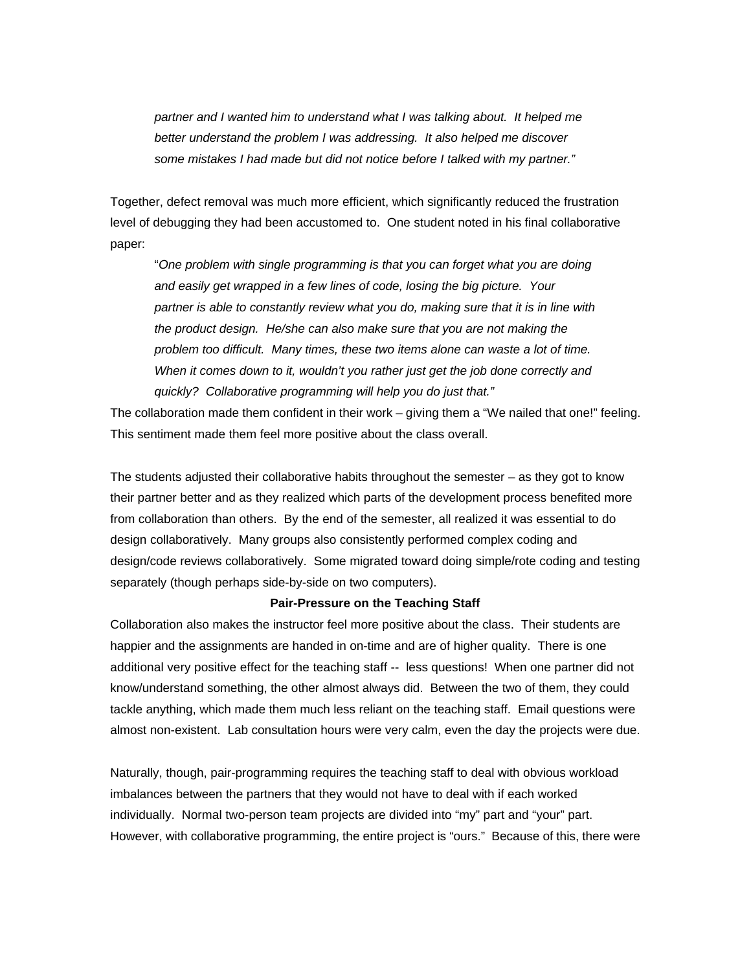*partner and I wanted him to understand what I was talking about. It helped me better understand the problem I was addressing. It also helped me discover some mistakes I had made but did not notice before I talked with my partner."*

Together, defect removal was much more efficient, which significantly reduced the frustration level of debugging they had been accustomed to. One student noted in his final collaborative paper:

"*One problem with single programming is that you can forget what you are doing and easily get wrapped in a few lines of code, losing the big picture. Your partner is able to constantly review what you do, making sure that it is in line with the product design. He/she can also make sure that you are not making the problem too difficult. Many times, these two items alone can waste a lot of time. When it comes down to it, wouldn't you rather just get the job done correctly and quickly? Collaborative programming will help you do just that."*

The collaboration made them confident in their work – giving them a "We nailed that one!" feeling. This sentiment made them feel more positive about the class overall.

The students adjusted their collaborative habits throughout the semester – as they got to know their partner better and as they realized which parts of the development process benefited more from collaboration than others. By the end of the semester, all realized it was essential to do design collaboratively. Many groups also consistently performed complex coding and design/code reviews collaboratively. Some migrated toward doing simple/rote coding and testing separately (though perhaps side-by-side on two computers).

# **Pair-Pressure on the Teaching Staff**

Collaboration also makes the instructor feel more positive about the class. Their students are happier and the assignments are handed in on-time and are of higher quality. There is one additional very positive effect for the teaching staff -- less questions! When one partner did not know/understand something, the other almost always did. Between the two of them, they could tackle anything, which made them much less reliant on the teaching staff. Email questions were almost non-existent. Lab consultation hours were very calm, even the day the projects were due.

Naturally, though, pair-programming requires the teaching staff to deal with obvious workload imbalances between the partners that they would not have to deal with if each worked individually. Normal two-person team projects are divided into "my" part and "your" part. However, with collaborative programming, the entire project is "ours." Because of this, there were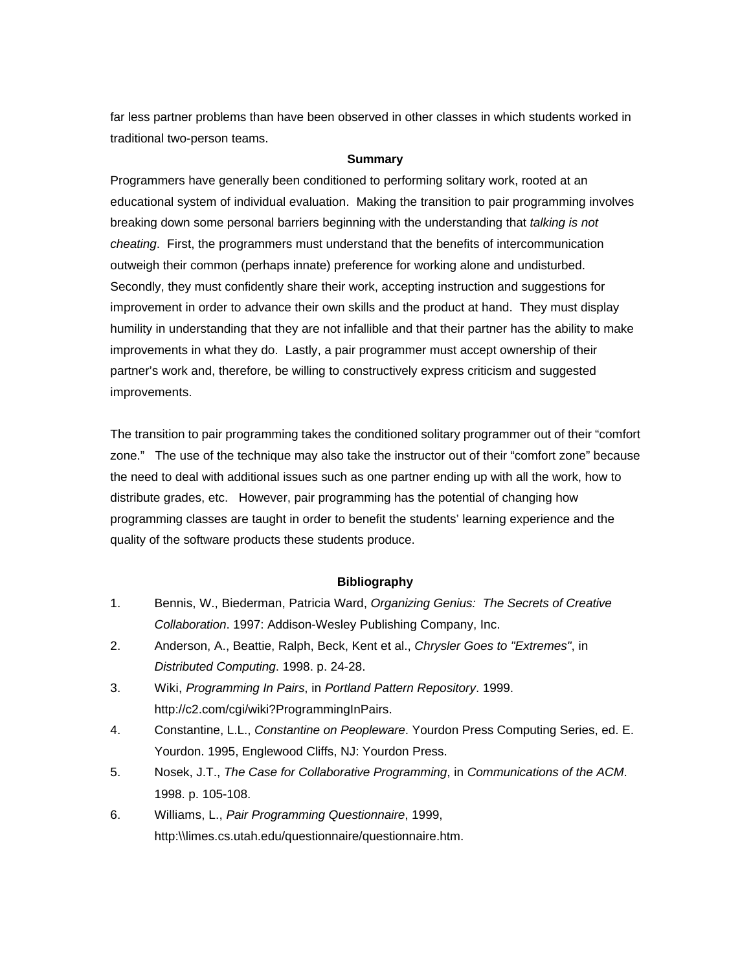far less partner problems than have been observed in other classes in which students worked in traditional two-person teams.

### **Summary**

Programmers have generally been conditioned to performing solitary work, rooted at an educational system of individual evaluation. Making the transition to pair programming involves breaking down some personal barriers beginning with the understanding that *talking is not cheating*. First, the programmers must understand that the benefits of intercommunication outweigh their common (perhaps innate) preference for working alone and undisturbed. Secondly, they must confidently share their work, accepting instruction and suggestions for improvement in order to advance their own skills and the product at hand. They must display humility in understanding that they are not infallible and that their partner has the ability to make improvements in what they do. Lastly, a pair programmer must accept ownership of their partner's work and, therefore, be willing to constructively express criticism and suggested improvements.

The transition to pair programming takes the conditioned solitary programmer out of their "comfort zone." The use of the technique may also take the instructor out of their "comfort zone" because the need to deal with additional issues such as one partner ending up with all the work, how to distribute grades, etc. However, pair programming has the potential of changing how programming classes are taught in order to benefit the students' learning experience and the quality of the software products these students produce.

## **Bibliography**

- 1. Bennis, W., Biederman, Patricia Ward, *Organizing Genius: The Secrets of Creative Collaboration*. 1997: Addison-Wesley Publishing Company, Inc.
- 2. Anderson, A., Beattie, Ralph, Beck, Kent et al., *Chrysler Goes to "Extremes"*, in *Distributed Computing*. 1998. p. 24-28.
- 3. Wiki, *Programming In Pairs*, in *Portland Pattern Repository*. 1999. http://c2.com/cgi/wiki?ProgrammingInPairs.
- 4. Constantine, L.L., *Constantine on Peopleware*. Yourdon Press Computing Series, ed. E. Yourdon. 1995, Englewood Cliffs, NJ: Yourdon Press.
- 5. Nosek, J.T., *The Case for Collaborative Programming*, in *Communications of the ACM*. 1998. p. 105-108.
- 6. Williams, L., *Pair Programming Questionnaire*, 1999, http:\\limes.cs.utah.edu/questionnaire/questionnaire.htm.